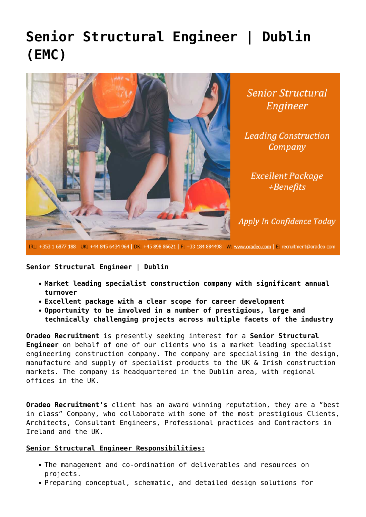## **[Senior Structural Engineer | Dublin](https://oradeo.com/job/senior-structural-engineer-dublin-emc/) [\(EMC\)](https://oradeo.com/job/senior-structural-engineer-dublin-emc/)**



**Senior Structural** Engineer

**Leading Construction** Company

**Excellent Package** +Benefits

Apply In Confidence Today

IRL: +353 1 6877 188 | UK: +44 845 6434 964 | DK: +45 898 86621 | F: +33 184 884498 | W: www.oradeo.com | E: recruitment@oradeo.com

## **Senior Structural Engineer | Dublin**

- **Market leading specialist construction company with significant annual turnover**
- **Excellent package with a clear scope for career development**
- **Opportunity to be involved in a number of prestigious, large and technically challenging projects across multiple facets of the industry**

**Oradeo Recruitment** is presently seeking interest for a **Senior Structural Engineer** on behalf of one of our clients who is a market leading specialist engineering construction company. The company are specialising in the design, manufacture and supply of specialist products to the UK & Irish construction markets. The company is headquartered in the Dublin area, with regional offices in the UK.

**Oradeo Recruitment's** client has an award winning reputation, they are a "best in class" Company, who collaborate with some of the most prestigious Clients, Architects, Consultant Engineers, Professional practices and Contractors in Ireland and the UK.

## **Senior Structural Engineer Responsibilities:**

- The management and co-ordination of deliverables and resources on projects.
- Preparing conceptual, schematic, and detailed design solutions for